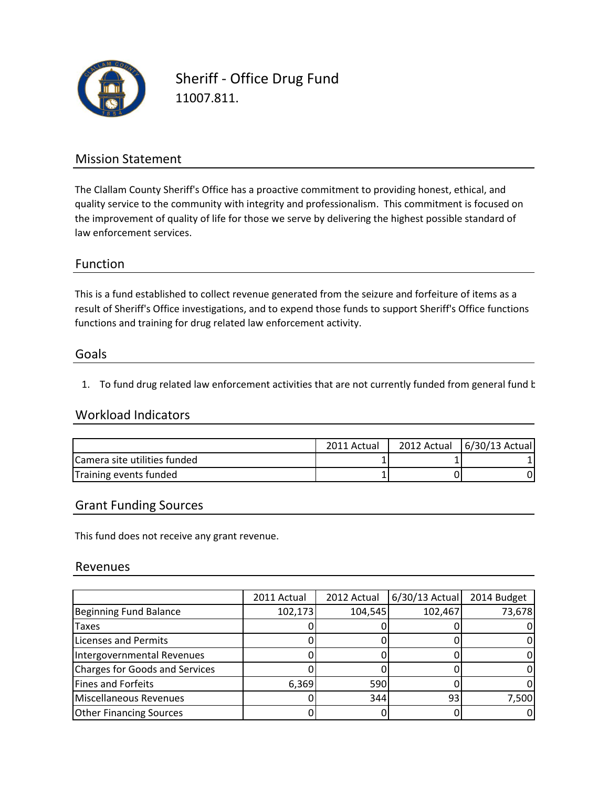

Sheriff - Office Drug Fund 11007.811.

## Mission Statement

The Clallam County Sheriff's Office has a proactive commitment to providing honest, ethical, and quality service to the community with integrity and professionalism. This commitment is focused on the improvement of quality of life for those we serve by delivering the highest possible standard of law enforcement services.

### Function

This is a fund established to collect revenue generated from the seizure and forfeiture of items as a functions and training for drug related law enforcement activity. result of Sheriff's Office investigations, and to expend those funds to support Sheriff's Office functions

### Goals

1. To fund drug related law enforcement activities that are not currently funded from general fund  $k$ 

### Workload Indicators

|                              | 2011 Actual | 2012 Actual 6/30/13 Actual |
|------------------------------|-------------|----------------------------|
| Camera site utilities funded |             |                            |
| Training events funded       |             |                            |

## Grant Funding Sources

This fund does not receive any grant revenue.

### Revenues

|                                | 2011 Actual | 2012 Actual | $6/30/13$ Actual | 2014 Budget |
|--------------------------------|-------------|-------------|------------------|-------------|
| Beginning Fund Balance         | 102,173     | 104,545     | 102,467          | 73,678      |
| <b>Taxes</b>                   |             |             |                  |             |
| Licenses and Permits           |             |             |                  |             |
| Intergovernmental Revenues     |             |             |                  |             |
| Charges for Goods and Services |             |             |                  |             |
| Fines and Forfeits             | 6,369       | 590         |                  |             |
| Miscellaneous Revenues         |             | 344         | 93               | 7,500       |
| <b>Other Financing Sources</b> |             |             |                  |             |